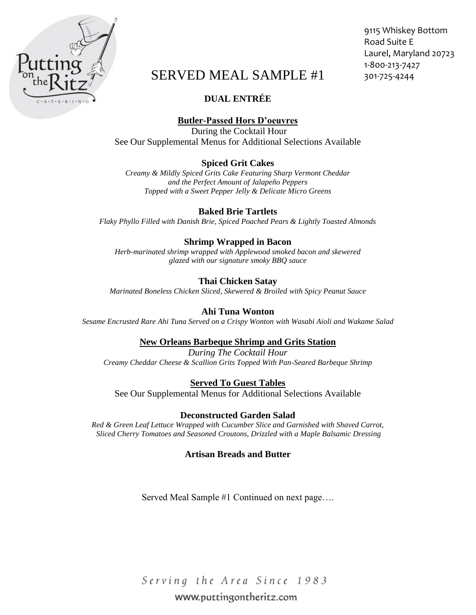

# SERVED MEAL SAMPLE #1 301-725-4244

# **DUAL ENTRÉE**

# **Butler-Passed Hors D'oeuvres**

During the Cocktail Hour See Our Supplemental Menus for Additional Selections Available

# **Spiced Grit Cakes**

*Creamy & Mildly Spiced Grits Cake Featuring Sharp Vermont Cheddar and the Perfect Amount of Jalapeño Peppers Topped with a Sweet Pepper Jelly & Delicate Micro Greens*

# **Baked Brie Tartlets**

*Flaky Phyllo Filled with Danish Brie, Spiced Poached Pears & Lightly Toasted Almonds*

# **Shrimp Wrapped in Bacon**

*Herb-marinated shrimp wrapped with Applewood smoked bacon and skewered glazed with our signature smoky BBQ sauce*

# **Thai Chicken Satay**

*Marinated Boneless Chicken Sliced, Skewered & Broiled with Spicy Peanut Sauce* 

#### **Ahi Tuna Wonton**

*Sesame Encrusted Rare Ahi Tuna Served on a Crispy Wonton with Wasabi Aioli and Wakame Salad*

# **New Orleans Barbeque Shrimp and Grits Station**

*During The Cocktail Hour Creamy Cheddar Cheese & Scallion Grits Topped With Pan-Seared Barbeque Shrimp*

# **Served To Guest Tables**

See Our Supplemental Menus for Additional Selections Available

# **Deconstructed Garden Salad**

*Red & Green Leaf Lettuce Wrapped with Cucumber Slice and Garnished with Shaved Carrot, Sliced Cherry Tomatoes and Seasoned Croutons, Drizzled with a Maple Balsamic Dressing* 

# **Artisan Breads and Butter**

Served Meal Sample #1 Continued on next page….

Serving the Area Since 1983 www.puttingontheritz.com

9115 Whiskey Bottom Road Suite E Laurel, Maryland 20723 1-800-213-7427